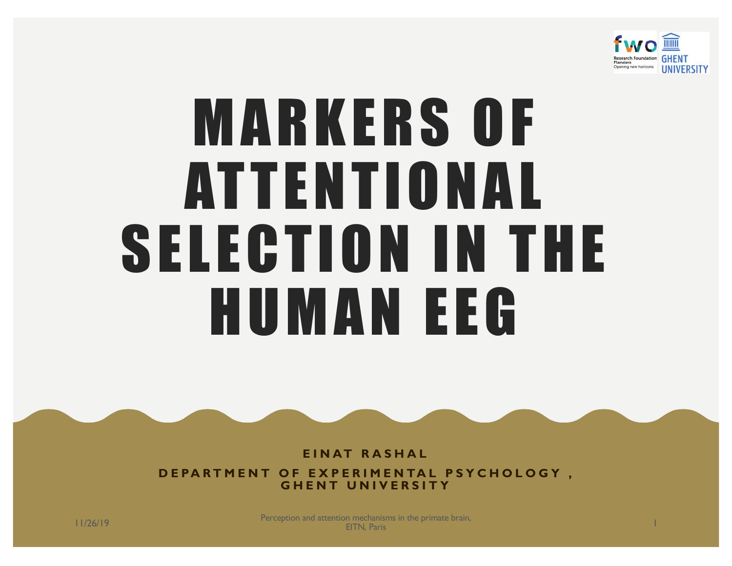

# MARKERS OF ATTENTIONAL SELECTION IN THE HUMAN EEG

**EINAT RASHAL** 

**DEPARTMENT OF EXPERIMENTAL PSYCHOLOGY , GHENT UNIVERSITY**

11/26/19 Perception and attention mechanisms in the primate brain, n mechanisms in the primate brain,<br>EITN, Paris 1998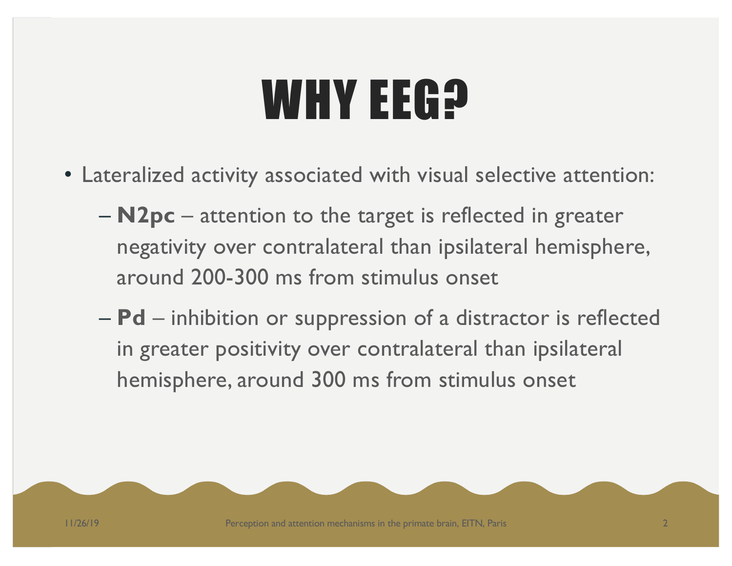## WHY EEG<sub>2</sub>

- Lateralized activity associated with visual selective attention:
	- **N2pc**  attention to the target is reflected in greater negativity over contralateral than ipsilateral hemisphere, around 200-300 ms from stimulus onset
	- **Pd** inhibition or suppression of a distractor is reflected in greater positivity over contralateral than ipsilateral hemisphere, around 300 ms from stimulus onset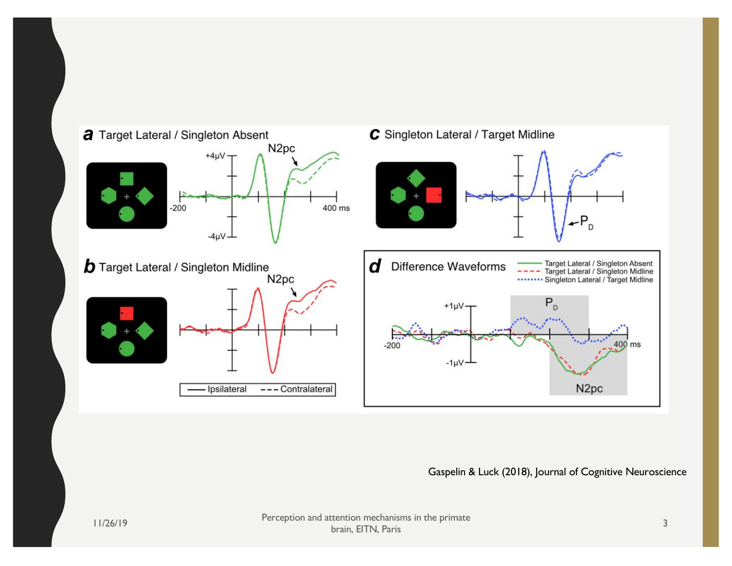

 $\mathbf S$ 

*Figure 3.* Electrophysiological results from search trials in Experiment 1. In the schematics of the search displays, the target was the green diamond and the singleton was the uniquely colored item. The waveforms in this and all subsequent figures were low-pass figures were low-pass figures were low-pass figures were low-<br>Gaspelin & Luck (2018), Journal of Cognitive Neuroscience

The time course of the N2pc and PD components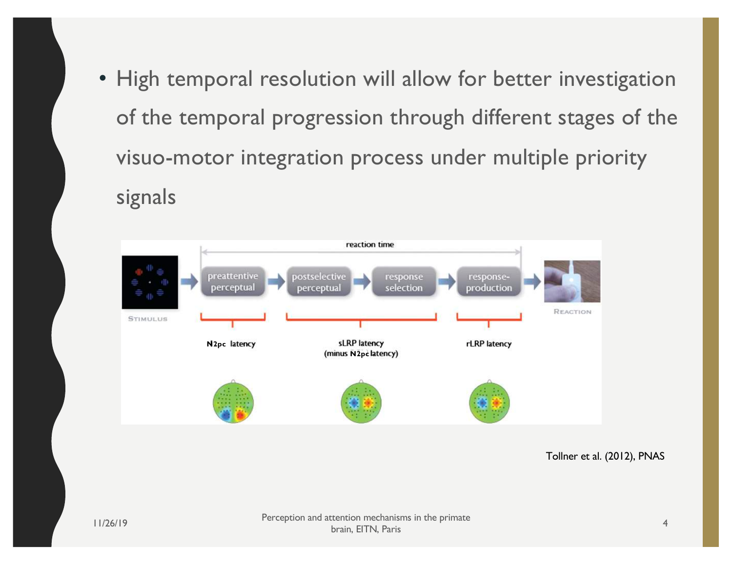• High temporal resolution will allow for better investigation of the temporal progression through different stages of the visuo-motor integration process under multiple priority signals



cessing chain. In particular, by combining mental chronometry with PCN and LRP activations, the time distinct processing stages can be time distinct processing stages can be the time distinct processing stages can be the t

tered to familiarize subjects with the required S–R mapping.

to discern any task-set effects at the levels of response activation

response alternative. Finally, the motor response thus selected is executed.

electrocortically dissociated: (i) preattentive perception, (ii) postselective perception and response selection, and (iii) response production. Preattentive perceptual processes of feature contrast and salience coding determine focal-attentional target selection. Postselective perceptual processes extract defining attributes of the selected item to ascertain that this item is indeed a target as well as response-critical attributes that then are mapped onto the appropriate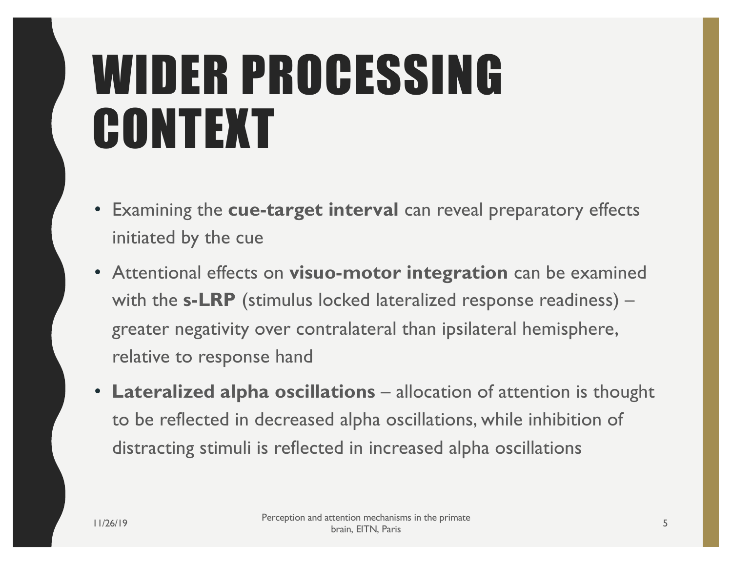## WIDER PROCESSING CONTEXT

- Examining the **cue-target interval** can reveal preparatory effects initiated by the cue
- Attentional effects on **visuo-motor integration** can be examined with the **s-LRP** (stimulus locked lateralized response readiness) – greater negativity over contralateral than ipsilateral hemisphere, relative to response hand
- Lateralized alpha oscillations allocation of attention is thought to be reflected in decreased alpha oscillations, while inhibition of distracting stimuli is reflected in increased alpha oscillations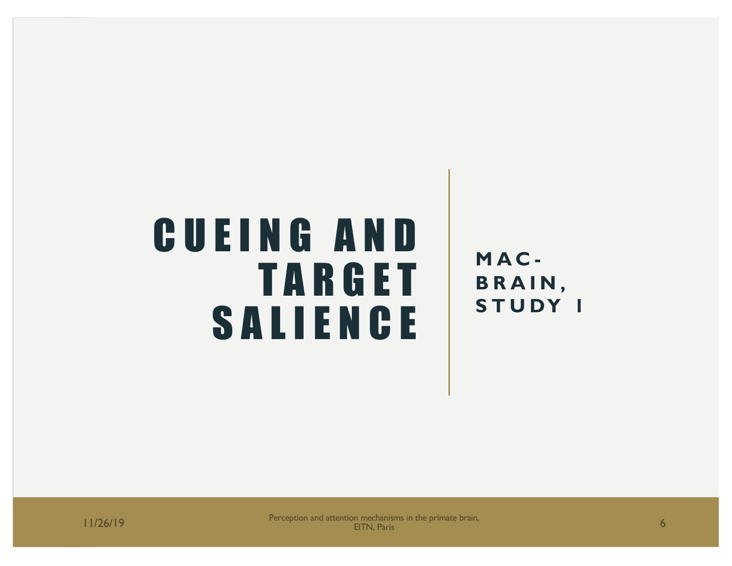### CUEING AND TARGET SALIENCE

**MAC - BRAIN, STUDY 1**

11/26/19 **Perception and attention mechanisms in the primate brain,** The Campion of the problem of the primate brain, 6 **6**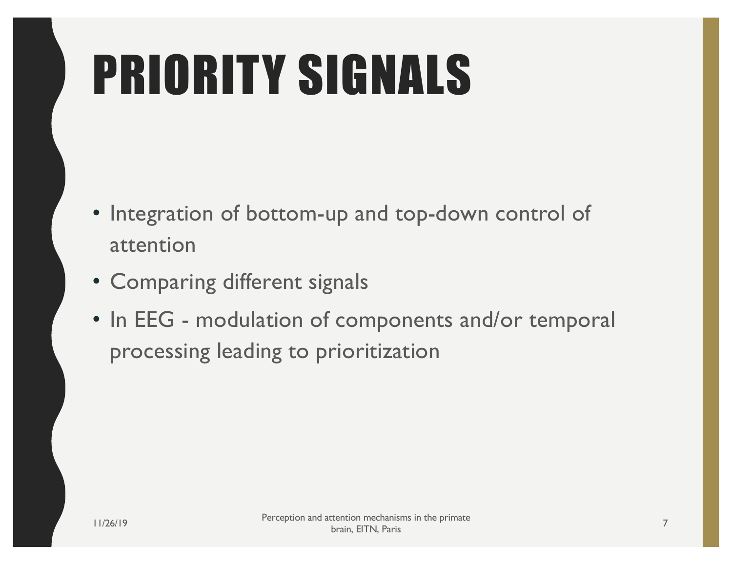# PRIORITY SIGNALS

- Integration of bottom-up and top-down control of attention
- Comparing different signals
- In EEG modulation of components and/or temporal processing leading to prioritization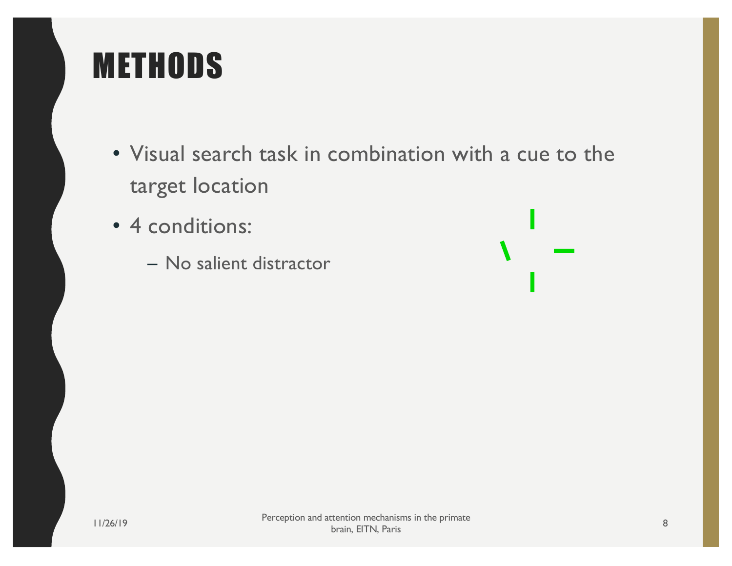- Visual search task in combination with a cue to the target location
- 4 conditions:
	- No salient distractor

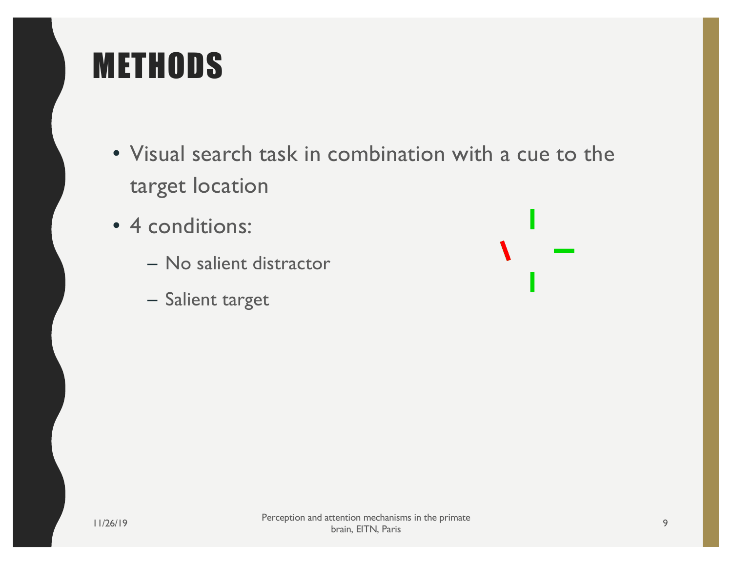- Visual search task in combination with a cue to the target location
- 4 conditions:
	- No salient distractor
	- Salient target

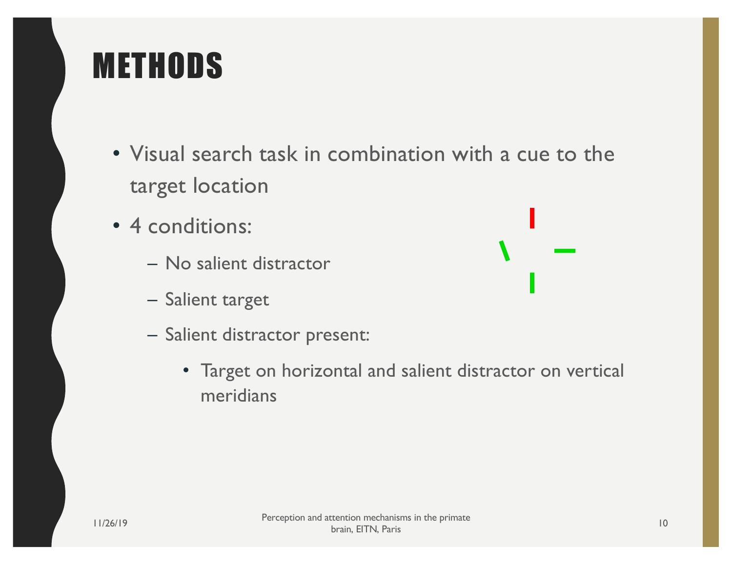- Visual search task in combination with a cue to the target location
- 4 conditions:
	- No salient distractor
	- Salient target
	- Salient distractor present:
		- Target on horizontal and salient distractor on vertical meridians

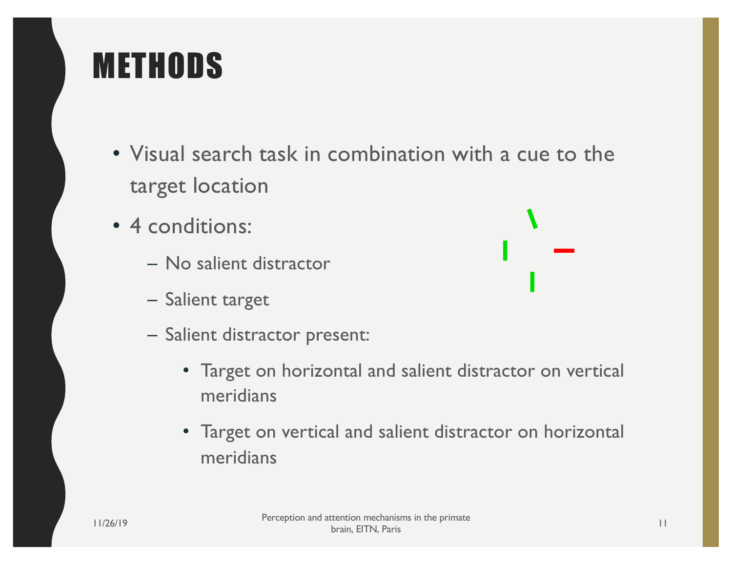- Visual search task in combination with a cue to the target location
- 4 conditions:
	- No salient distractor
	- Salient target
	- Salient distractor present:
		- Target on horizontal and salient distractor on vertical meridians
		- Target on vertical and salient distractor on horizontal meridians

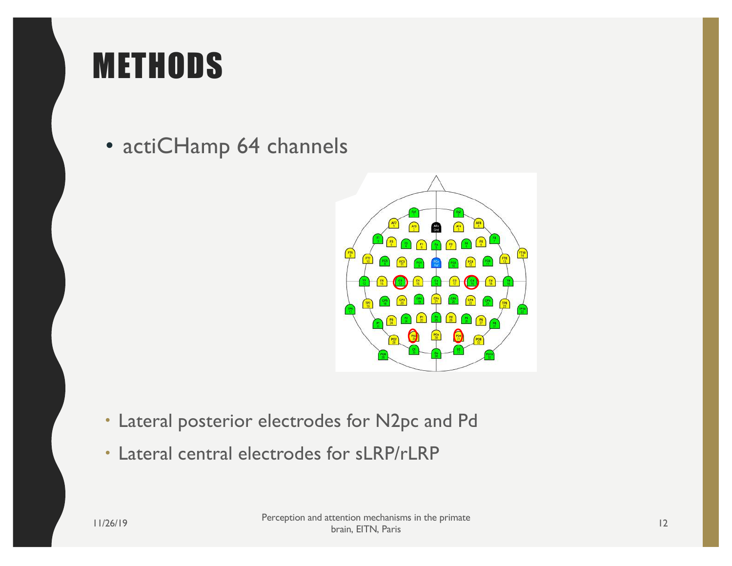



• actiCHamp 64 channels  $n$ 



- J<sub>2</sub> pc a • Lateral posterior electrodes for N2pc and Pd
- Lateral central electrodes for sLRP/rLRP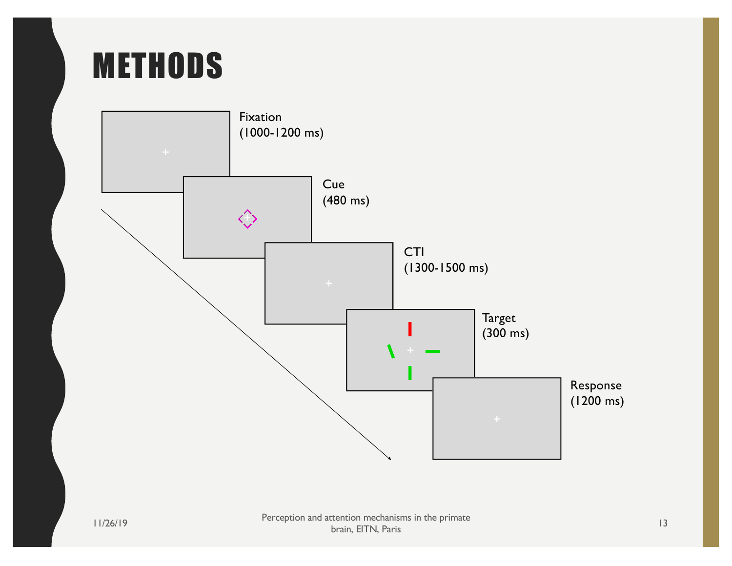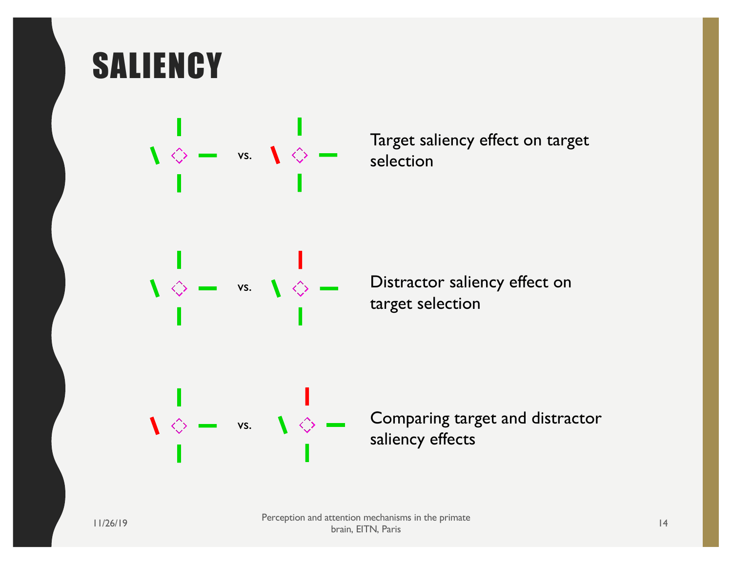#### **SALIENCY**



Target saliency effect on target selection

target selection

 $\Diamond$   $\bullet$  vs.  $\Diamond$   $\Diamond$   $\bullet$  Comparing target and distractor saliency effects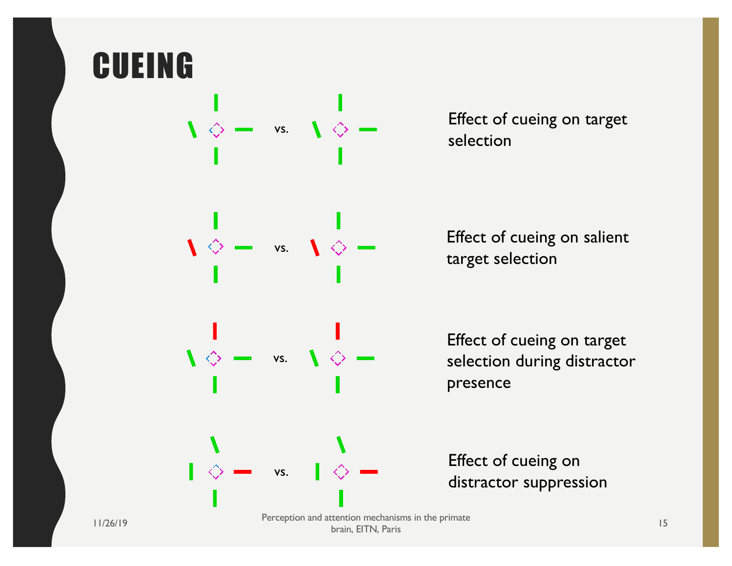

Effect of cueing on target selection

Effect of cueing on salient target selection

Effect of cueing on target selection during distractor presence

Effect of cueing on distractor suppression

brain, EITN, Paris <sup>15</sup>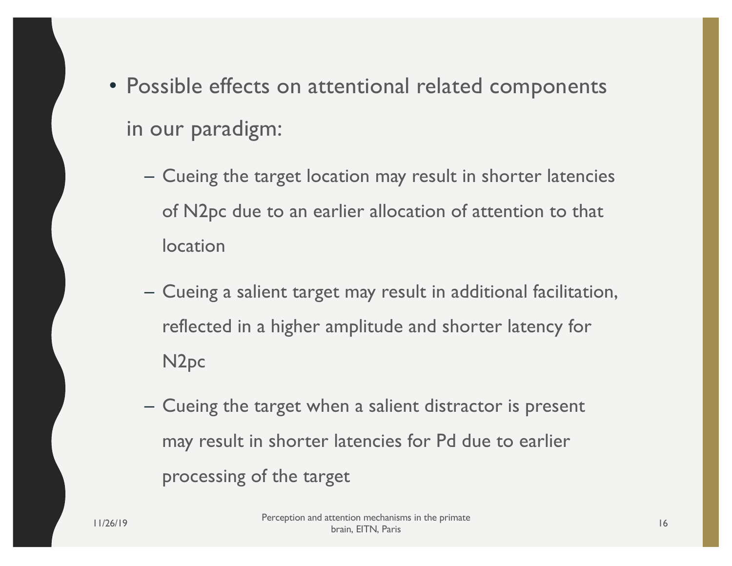- Possible effects on attentional related components in our paradigm:
	- Cueing the target location may result in shorter latencies of N2pc due to an earlier allocation of attention to that location
	- Cueing a salient target may result in additional facilitation, reflected in a higher amplitude and shorter latency for N2pc
	- Cueing the target when a salient distractor is present may result in shorter latencies for Pd due to earlier processing of the target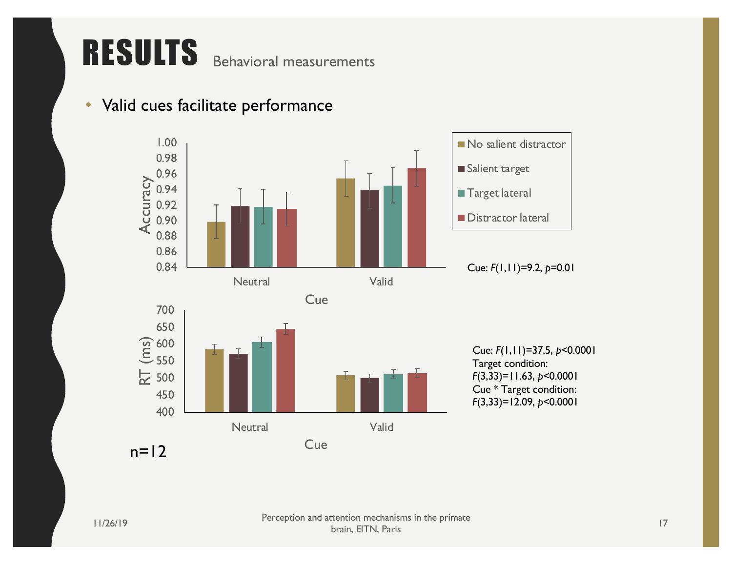#### RESULTS Behavioral measurements

#### • Valid cues facilitate performance

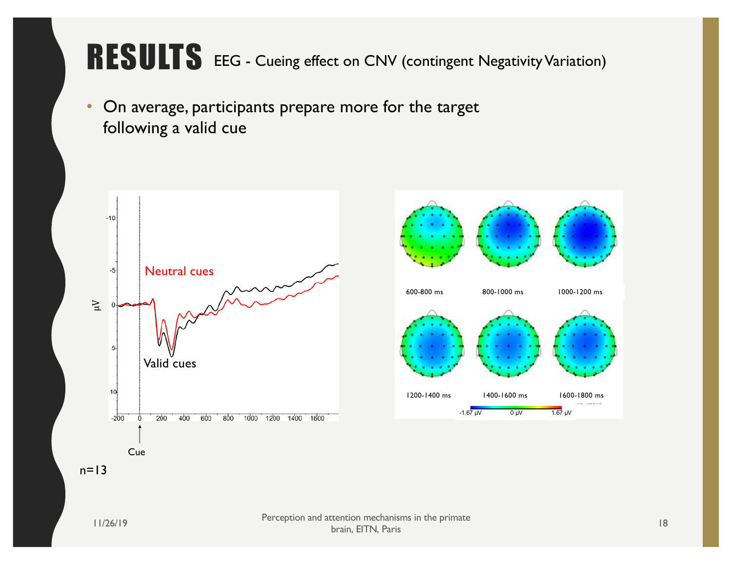#### RESULTS EEG - Cueing effect on CNV (contingent Negativity Variation)

Cz

• On average, participants prepare more for the target following a valid cue

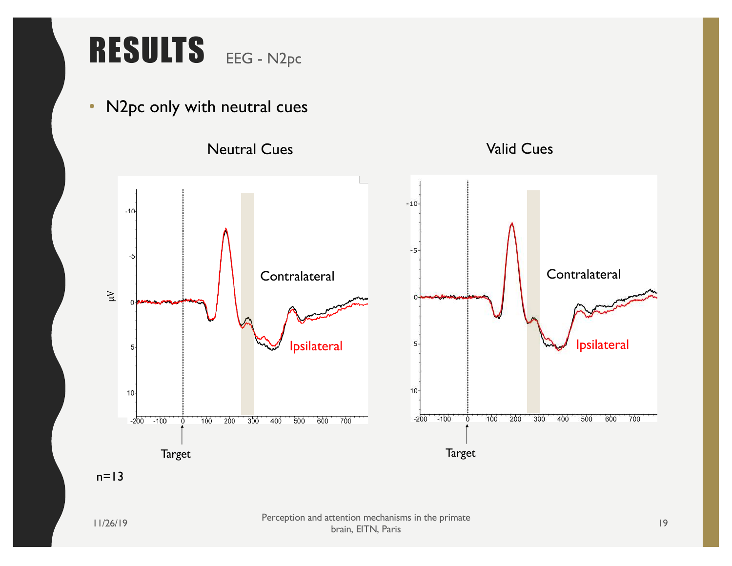#### RESULTS EEG - N2pc

• N2pc only with neutral cues



11/26/19 Perception and attention mechanisms in the primate brain, EITN, Paris <sup>19</sup>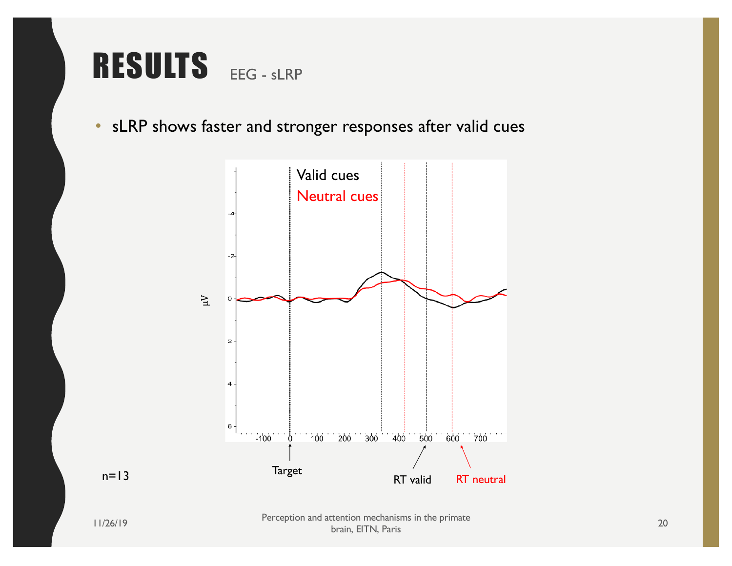

• sLRP shows faster and stronger responses after valid cues



 $n=13$ 

11/26/19 Perception and attention mechanisms in the primate brain, EITN, Paris 20<br>
brain, EITN, Paris 20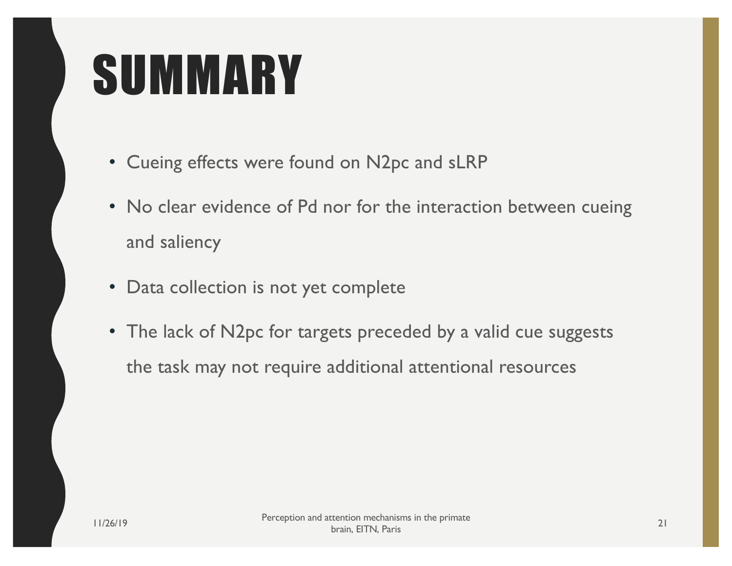## **SUMMARY**

- Cueing effects were found on N2pc and sLRP
- No clear evidence of Pd nor for the interaction between cueing and saliency
- Data collection is not yet complete
- The lack of N2pc for targets preceded by a valid cue suggests the task may not require additional attentional resources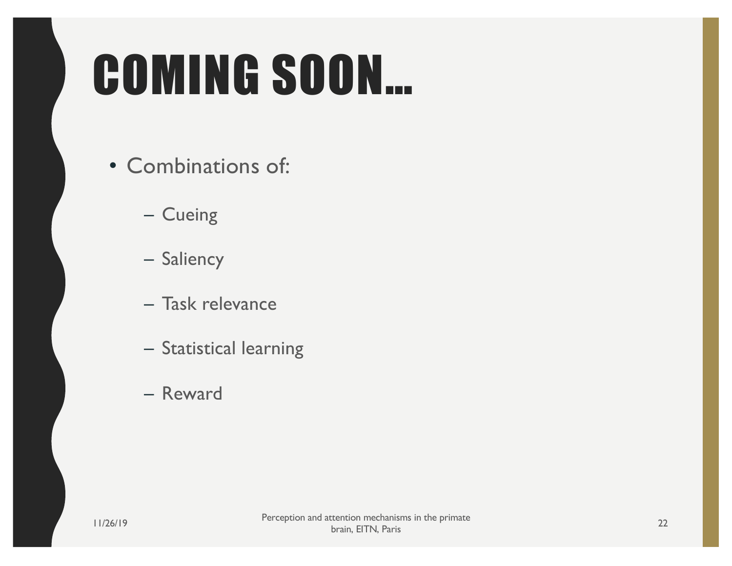# COMING SOON…

- Combinations of:
	- Cueing
	- Saliency
	- Task relevance
	- Statistical learning
	- Reward